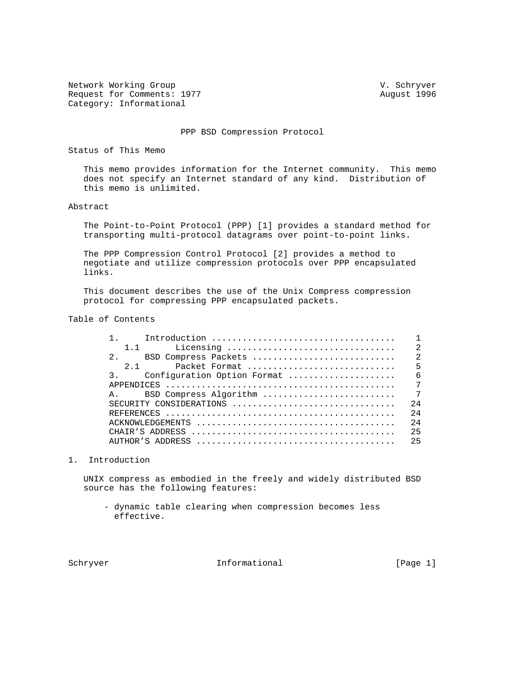Network Working Group and Communications of the V. Schryver Request for Comments: 1977 August 1996 Category: Informational

PPP BSD Compression Protocol

Status of This Memo

 This memo provides information for the Internet community. This memo does not specify an Internet standard of any kind. Distribution of this memo is unlimited.

# Abstract

 The Point-to-Point Protocol (PPP) [1] provides a standard method for transporting multi-protocol datagrams over point-to-point links.

 The PPP Compression Control Protocol [2] provides a method to negotiate and utilize compression protocols over PPP encapsulated links.

 This document describes the use of the Unix Compress compression protocol for compressing PPP encapsulated packets.

# Table of Contents

| $1 \quad 1$                    |  |
|--------------------------------|--|
| 2 <sup>1</sup>                 |  |
| $2 \quad 1$                    |  |
|                                |  |
|                                |  |
| $\mathsf A$ .                  |  |
| 2.4<br>SECURITY CONSIDERATIONS |  |
| 2.4                            |  |
| 2.4                            |  |
| 25                             |  |
| 25                             |  |
|                                |  |

### 1. Introduction

 UNIX compress as embodied in the freely and widely distributed BSD source has the following features:

 - dynamic table clearing when compression becomes less effective.

Schryver **Informational** Informational [Page 1]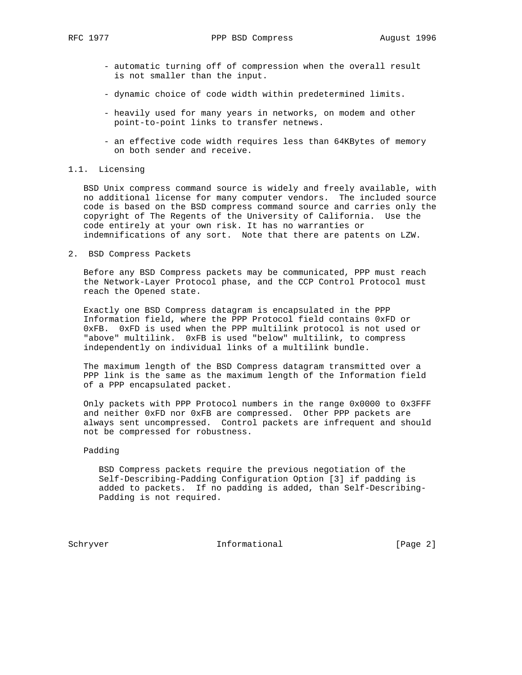- automatic turning off of compression when the overall result is not smaller than the input.
- dynamic choice of code width within predetermined limits.
- heavily used for many years in networks, on modem and other point-to-point links to transfer netnews.
- an effective code width requires less than 64KBytes of memory on both sender and receive.

# 1.1. Licensing

 BSD Unix compress command source is widely and freely available, with no additional license for many computer vendors. The included source code is based on the BSD compress command source and carries only the copyright of The Regents of the University of California. Use the code entirely at your own risk. It has no warranties or indemnifications of any sort. Note that there are patents on LZW.

2. BSD Compress Packets

 Before any BSD Compress packets may be communicated, PPP must reach the Network-Layer Protocol phase, and the CCP Control Protocol must reach the Opened state.

 Exactly one BSD Compress datagram is encapsulated in the PPP Information field, where the PPP Protocol field contains 0xFD or 0xFB. 0xFD is used when the PPP multilink protocol is not used or "above" multilink. 0xFB is used "below" multilink, to compress independently on individual links of a multilink bundle.

 The maximum length of the BSD Compress datagram transmitted over a PPP link is the same as the maximum length of the Information field of a PPP encapsulated packet.

 Only packets with PPP Protocol numbers in the range 0x0000 to 0x3FFF and neither 0xFD nor 0xFB are compressed. Other PPP packets are always sent uncompressed. Control packets are infrequent and should not be compressed for robustness.

# Padding

 BSD Compress packets require the previous negotiation of the Self-Describing-Padding Configuration Option [3] if padding is added to packets. If no padding is added, than Self-Describing- Padding is not required.

Schryver 10 Informational 100 Informational [Page 2]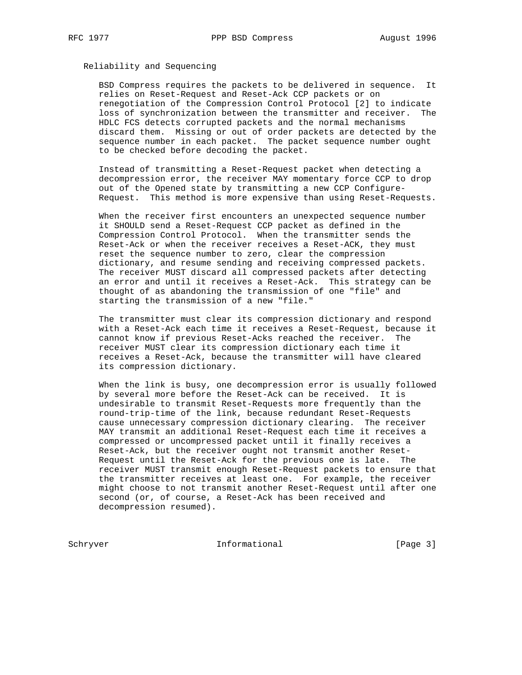# Reliability and Sequencing

 BSD Compress requires the packets to be delivered in sequence. It relies on Reset-Request and Reset-Ack CCP packets or on renegotiation of the Compression Control Protocol [2] to indicate loss of synchronization between the transmitter and receiver. The HDLC FCS detects corrupted packets and the normal mechanisms discard them. Missing or out of order packets are detected by the sequence number in each packet. The packet sequence number ought to be checked before decoding the packet.

 Instead of transmitting a Reset-Request packet when detecting a decompression error, the receiver MAY momentary force CCP to drop out of the Opened state by transmitting a new CCP Configure- Request. This method is more expensive than using Reset-Requests.

 When the receiver first encounters an unexpected sequence number it SHOULD send a Reset-Request CCP packet as defined in the Compression Control Protocol. When the transmitter sends the Reset-Ack or when the receiver receives a Reset-ACK, they must reset the sequence number to zero, clear the compression dictionary, and resume sending and receiving compressed packets. The receiver MUST discard all compressed packets after detecting an error and until it receives a Reset-Ack. This strategy can be thought of as abandoning the transmission of one "file" and starting the transmission of a new "file."

 The transmitter must clear its compression dictionary and respond with a Reset-Ack each time it receives a Reset-Request, because it cannot know if previous Reset-Acks reached the receiver. The receiver MUST clear its compression dictionary each time it receives a Reset-Ack, because the transmitter will have cleared its compression dictionary.

 When the link is busy, one decompression error is usually followed by several more before the Reset-Ack can be received. It is undesirable to transmit Reset-Requests more frequently than the round-trip-time of the link, because redundant Reset-Requests cause unnecessary compression dictionary clearing. The receiver MAY transmit an additional Reset-Request each time it receives a compressed or uncompressed packet until it finally receives a Reset-Ack, but the receiver ought not transmit another Reset- Request until the Reset-Ack for the previous one is late. The receiver MUST transmit enough Reset-Request packets to ensure that the transmitter receives at least one. For example, the receiver might choose to not transmit another Reset-Request until after one second (or, of course, a Reset-Ack has been received and decompression resumed).

Schryver 10 Informational 100 Informational [Page 3]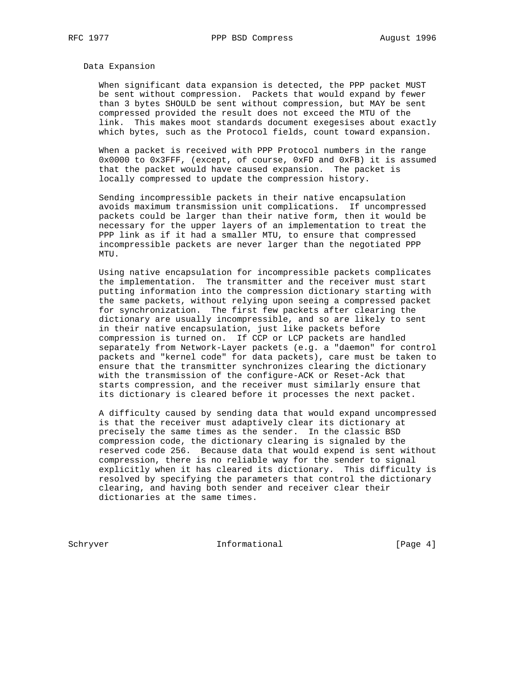## Data Expansion

 When significant data expansion is detected, the PPP packet MUST be sent without compression. Packets that would expand by fewer than 3 bytes SHOULD be sent without compression, but MAY be sent compressed provided the result does not exceed the MTU of the link. This makes moot standards document exegesises about exactly which bytes, such as the Protocol fields, count toward expansion.

 When a packet is received with PPP Protocol numbers in the range 0x0000 to 0x3FFF, (except, of course, 0xFD and 0xFB) it is assumed that the packet would have caused expansion. The packet is locally compressed to update the compression history.

 Sending incompressible packets in their native encapsulation avoids maximum transmission unit complications. If uncompressed packets could be larger than their native form, then it would be necessary for the upper layers of an implementation to treat the PPP link as if it had a smaller MTU, to ensure that compressed incompressible packets are never larger than the negotiated PPP MTU.

 Using native encapsulation for incompressible packets complicates the implementation. The transmitter and the receiver must start putting information into the compression dictionary starting with the same packets, without relying upon seeing a compressed packet for synchronization. The first few packets after clearing the dictionary are usually incompressible, and so are likely to sent in their native encapsulation, just like packets before compression is turned on. If CCP or LCP packets are handled separately from Network-Layer packets (e.g. a "daemon" for control packets and "kernel code" for data packets), care must be taken to ensure that the transmitter synchronizes clearing the dictionary with the transmission of the configure-ACK or Reset-Ack that starts compression, and the receiver must similarly ensure that its dictionary is cleared before it processes the next packet.

 A difficulty caused by sending data that would expand uncompressed is that the receiver must adaptively clear its dictionary at precisely the same times as the sender. In the classic BSD compression code, the dictionary clearing is signaled by the reserved code 256. Because data that would expend is sent without compression, there is no reliable way for the sender to signal explicitly when it has cleared its dictionary. This difficulty is resolved by specifying the parameters that control the dictionary clearing, and having both sender and receiver clear their dictionaries at the same times.

Schryver Informational [Page 4]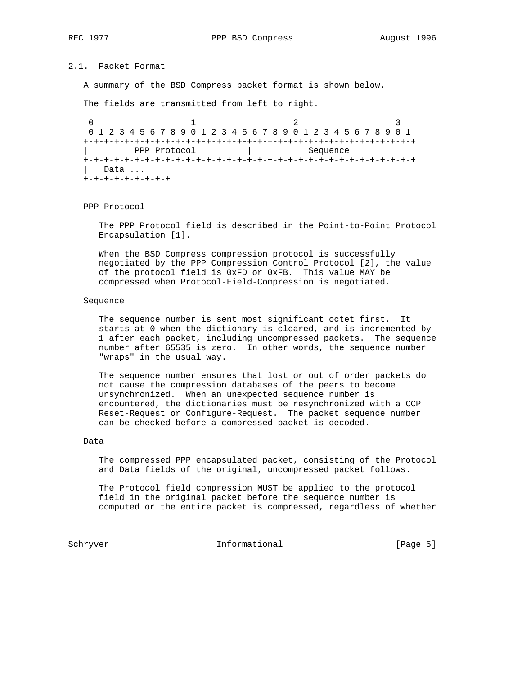# 2.1. Packet Format

A summary of the BSD Compress packet format is shown below.

The fields are transmitted from left to right.

0  $1$  2 3 0 1 2 3 4 5 6 7 8 9 0 1 2 3 4 5 6 7 8 9 0 1 2 3 4 5 6 7 8 9 0 1 +-+-+-+-+-+-+-+-+-+-+-+-+-+-+-+-+-+-+-+-+-+-+-+-+-+-+-+-+-+-+-+-+ | PPP Protocol | Sequence +-+-+-+-+-+-+-+-+-+-+-+-+-+-+-+-+-+-+-+-+-+-+-+-+-+-+-+-+-+-+-+-+ | Data ... +-+-+-+-+-+-+-+-+

PPP Protocol

 The PPP Protocol field is described in the Point-to-Point Protocol Encapsulation [1].

 When the BSD Compress compression protocol is successfully negotiated by the PPP Compression Control Protocol [2], the value of the protocol field is 0xFD or 0xFB. This value MAY be compressed when Protocol-Field-Compression is negotiated.

#### Sequence

 The sequence number is sent most significant octet first. It starts at 0 when the dictionary is cleared, and is incremented by 1 after each packet, including uncompressed packets. The sequence number after 65535 is zero. In other words, the sequence number "wraps" in the usual way.

 The sequence number ensures that lost or out of order packets do not cause the compression databases of the peers to become unsynchronized. When an unexpected sequence number is encountered, the dictionaries must be resynchronized with a CCP Reset-Request or Configure-Request. The packet sequence number can be checked before a compressed packet is decoded.

# Data

 The compressed PPP encapsulated packet, consisting of the Protocol and Data fields of the original, uncompressed packet follows.

 The Protocol field compression MUST be applied to the protocol field in the original packet before the sequence number is computed or the entire packet is compressed, regardless of whether

Schryver Informational [Page 5]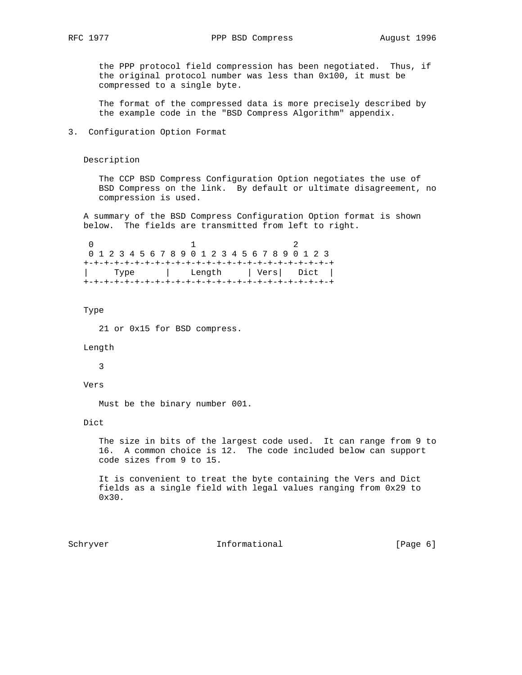the PPP protocol field compression has been negotiated. Thus, if the original protocol number was less than 0x100, it must be compressed to a single byte.

 The format of the compressed data is more precisely described by the example code in the "BSD Compress Algorithm" appendix.

3. Configuration Option Format

# Description

 The CCP BSD Compress Configuration Option negotiates the use of BSD Compress on the link. By default or ultimate disagreement, no compression is used.

 A summary of the BSD Compress Configuration Option format is shown below. The fields are transmitted from left to right.

|  |  |  |  |  |  |  |  | 0 1 2 3 4 5 6 7 8 9 0 1 2 3 4 5 6 7 8 9 0 1 2 3 |  |                            |  |  |  |  |  |  |  |  |  |  |  |  |  |  |  |
|--|--|--|--|--|--|--|--|-------------------------------------------------|--|----------------------------|--|--|--|--|--|--|--|--|--|--|--|--|--|--|--|
|  |  |  |  |  |  |  |  |                                                 |  |                            |  |  |  |  |  |  |  |  |  |  |  |  |  |  |  |
|  |  |  |  |  |  |  |  |                                                 |  | Type   Length   Vers  Dict |  |  |  |  |  |  |  |  |  |  |  |  |  |  |  |
|  |  |  |  |  |  |  |  |                                                 |  |                            |  |  |  |  |  |  |  |  |  |  |  |  |  |  |  |

#### Type

21 or 0x15 for BSD compress.

## Length

3

Vers

Must be the binary number 001.

# Dict

 The size in bits of the largest code used. It can range from 9 to 16. A common choice is 12. The code included below can support code sizes from 9 to 15.

 It is convenient to treat the byte containing the Vers and Dict fields as a single field with legal values ranging from 0x29 to 0x30.

Schryver 10 Informational [Page 6]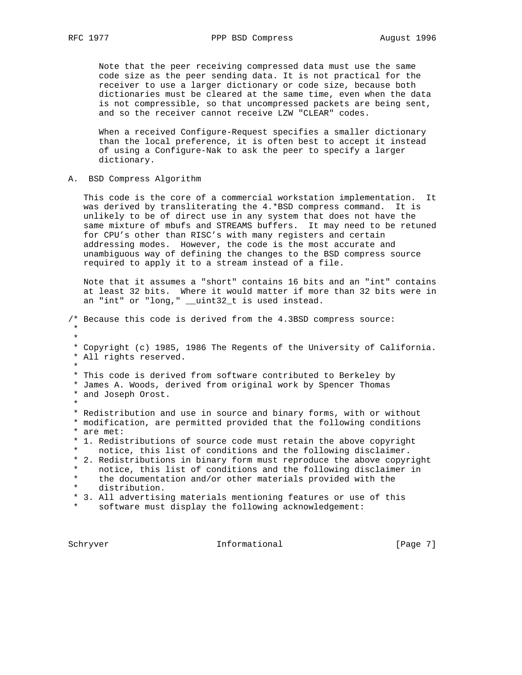Note that the peer receiving compressed data must use the same code size as the peer sending data. It is not practical for the receiver to use a larger dictionary or code size, because both dictionaries must be cleared at the same time, even when the data is not compressible, so that uncompressed packets are being sent, and so the receiver cannot receive LZW "CLEAR" codes.

 When a received Configure-Request specifies a smaller dictionary than the local preference, it is often best to accept it instead of using a Configure-Nak to ask the peer to specify a larger dictionary.

A. BSD Compress Algorithm

 This code is the core of a commercial workstation implementation. It was derived by transliterating the 4.\*BSD compress command. It is unlikely to be of direct use in any system that does not have the same mixture of mbufs and STREAMS buffers. It may need to be retuned for CPU's other than RISC's with many registers and certain addressing modes. However, the code is the most accurate and unambiguous way of defining the changes to the BSD compress source required to apply it to a stream instead of a file.

 Note that it assumes a "short" contains 16 bits and an "int" contains at least 32 bits. Where it would matter if more than 32 bits were in an "int" or "long," \_\_uint32\_t is used instead.

/\* Because this code is derived from the 4.3BSD compress source: \* \* \* Copyright (c) 1985, 1986 The Regents of the University of California. \* All rights reserved. \* \* This code is derived from software contributed to Berkeley by \* James A. Woods, derived from original work by Spencer Thomas \* and Joseph Orost. \* \* Redistribution and use in source and binary forms, with or without \* modification, are permitted provided that the following conditions \* are met: \* 1. Redistributions of source code must retain the above copyright notice, this list of conditions and the following disclaimer. \* 2. Redistributions in binary form must reproduce the above copyright notice, this list of conditions and the following disclaimer in the documentation and/or other materials provided with the distribution. \* 3. All advertising materials mentioning features or use of this software must display the following acknowledgement:

Schryver 10 Informational 100 Informational [Page 7]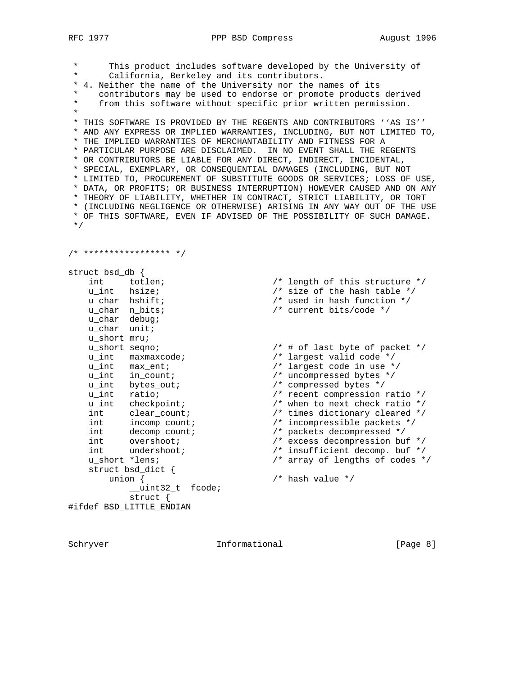RFC 1977 PPP BSD Compress August 1996

 \* This product includes software developed by the University of California, Berkeley and its contributors. \* 4. Neither the name of the University nor the names of its \* contributors may be used to endorse or promote products derived from this software without specific prior written permission. \* \* THIS SOFTWARE IS PROVIDED BY THE REGENTS AND CONTRIBUTORS ''AS IS'' \* AND ANY EXPRESS OR IMPLIED WARRANTIES, INCLUDING, BUT NOT LIMITED TO, \* THE IMPLIED WARRANTIES OF MERCHANTABILITY AND FITNESS FOR A \* PARTICULAR PURPOSE ARE DISCLAIMED. IN NO EVENT SHALL THE REGENTS \* OR CONTRIBUTORS BE LIABLE FOR ANY DIRECT, INDIRECT, INCIDENTAL, \* SPECIAL, EXEMPLARY, OR CONSEQUENTIAL DAMAGES (INCLUDING, BUT NOT \* LIMITED TO, PROCUREMENT OF SUBSTITUTE GOODS OR SERVICES; LOSS OF USE, \* DATA, OR PROFITS; OR BUSINESS INTERRUPTION) HOWEVER CAUSED AND ON ANY \* THEORY OF LIABILITY, WHETHER IN CONTRACT, STRICT LIABILITY, OR TORT \* (INCLUDING NEGLIGENCE OR OTHERWISE) ARISING IN ANY WAY OUT OF THE USE \* OF THIS SOFTWARE, EVEN IF ADVISED OF THE POSSIBILITY OF SUCH DAMAGE. \*/ /\* \*\*\*\*\*\*\*\*\*\*\*\*\*\*\*\*\* \*/ struct bsd\_db {<br>int totlen;<br>u\_int hsize; int totlen;  $\sqrt{x}$  length of this structure  $\sqrt{x}$  u\_int hsize; /\* size of the hash table \*/ u\_char hshift; /\* used in hash function \*/ u\_char n\_bits; /\* current bits/code \*/ u\_char debug; u\_char unit; u\_short mru; u\_short seqno; /\* # of last byte of packet \*/ u\_int maxmaxcode; /\* largest valid code \*/ u\_int max\_ent; /\* largest code in use \*/ u\_int in\_count; /\* uncompressed bytes \*/ u\_int bytes\_out; /\* compressed bytes \*/ u\_int ratio; /\* recent compression ratio \*/ u\_int checkpoint; /\* when to next check ratio \*/ int clear\_count; /\* times dictionary cleared \*/ int incomp\_count; /\* incompressible packets \*/ int decomp\_count; /\* packets decompressed \*/ int overshoot; /\* excess decompression buf \*/ int undershoot; /\* insufficient decomp. buf \*/ u\_short \*lens; /\* array of lengths of codes \*/ struct bsd\_dict { union { /\* hash value \*/ \_\_uint32\_t fcode;

struct {

#ifdef BSD\_LITTLE\_ENDIAN

Schryver Informational [Page 8]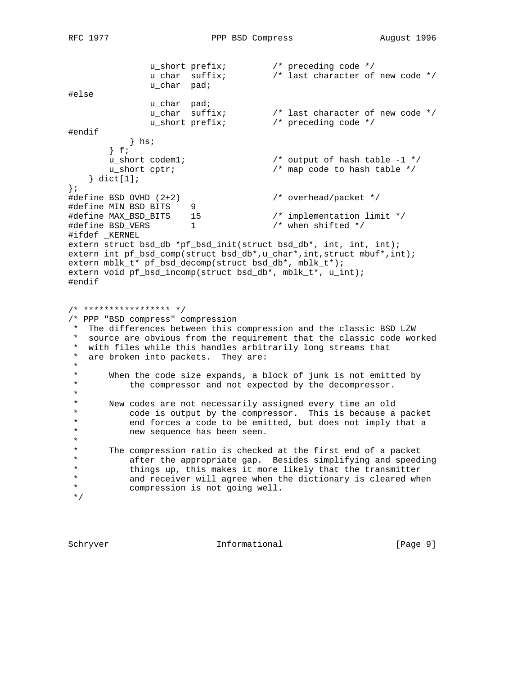```
 u_short prefix; /* preceding code */
 u_char suffix; /* last character of new code */
               u_short prefix;<br>u_char suffix;<br>u_char pad;
#else
                u_char pad;
 u_char suffix; /* last character of new code */
 u_short prefix; /* preceding code */
#endif
            } hs;
       } f;<br>u_short codeml;<br>u_short cptr;
 u_short codem1; /* output of hash table -1 */
 u_short cptr; /* map code to hash table */
    } dict[1];
};<br>#define BSD_OVHD (2+2)
                                      \frac{1}{2} overhead/packet */
#define MIN_BSD_BITS 9
#define MAX_BSD_BITS 15 /* implementation limit */
#define BSD_VERS 1 /* when shifted */
#ifdef _KERNEL
extern struct bsd_db *pf_bsd_init(struct bsd_db*, int, int, int);
extern int pf_bsd_comp(struct bsd_db*,u_char*,int,struct mbuf*,int);
extern mblk_t* pf_bsd_decomp(struct bsd_db*, mblk_t*);
extern void pf_bsd_incomp(struct bsd_db*, mblk_t*, u_int);
#endif
/* ***************** */
/* PPP "BSD compress" compression
 * The differences between this compression and the classic BSD LZW
 * source are obvious from the requirement that the classic code worked
  * with files while this handles arbitrarily long streams that
  * are broken into packets. They are:
 *
 * When the code size expands, a block of junk is not emitted by<br>* the compressor and not expected by the decompressor.
           the compressor and not expected by the decompressor.
  *
  * New codes are not necessarily assigned every time an old
  * code is output by the compressor. This is because a packet
 * end forces a code to be emitted, but does not imply that a<br>* The sequence has been seen.
           new sequence has been seen.
  *
  * The compression ratio is checked at the first end of a packet
  * after the appropriate gap. Besides simplifying and speeding
 * things up, this makes it more likely that the transmitter<br>* 3nd receiver will agree when the dictionary is cleared whe
  * and receiver will agree when the dictionary is cleared when
          compression is not going well.
  */
```
Schryver 10 Informational [Page 9]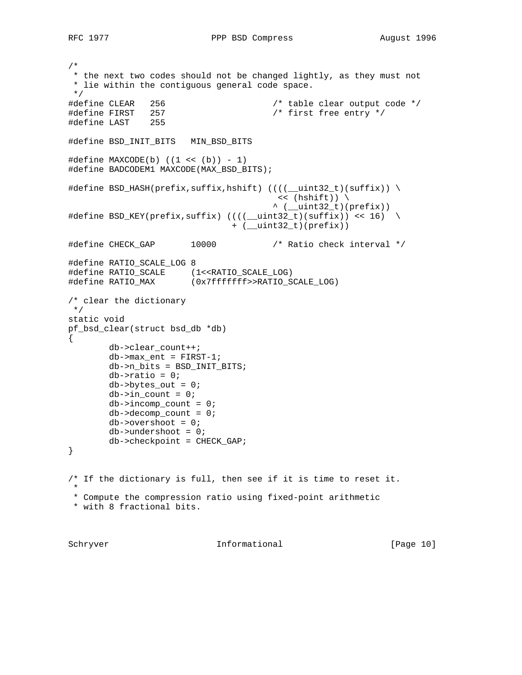/\* \* the next two codes should not be changed lightly, as they must not \* lie within the contiguous general code space. \*/ #define CLEAR 256 /\* table clear output code \*/ #define FIRST 257 /\* first free entry \*/ #define LAST 255 #define BSD\_INIT\_BITS MIN\_BSD\_BITS  $\#define$  MAXCODE(b) ((1 << (b)) - 1) #define BADCODEM1 MAXCODE(MAX\_BSD\_BITS); #define BSD\_HASH(prefix,suffix,hshift) ((((\_\_uint32\_t)(suffix)) \  $\lt\lt$  (hshift)) \  $\land$  ( $\_uint32_t)(prefix)$ ) #define BSD\_KEY(prefix,suffix)  $(((\underline{\hspace{1cm}} \underline{\hspace{1cm}} \underline{\hspace{1cm}} \underline{\hspace{1cm}} \underline{\hspace{1cm}} \underline{\hspace{1cm}} \underline{\hspace{1cm}} \underline{\hspace{1cm}} \underline{\hspace{1cm}} \underline{\hspace{1cm}} \underline{\hspace{1cm}} \underline{\hspace{1cm}} \underline{\hspace{1cm}} \underline{\hspace{1cm}} \underline{\hspace{1cm}} \underline{\hspace{1cm}} \underline{\hspace{1cm}} \underline{\hspace{1cm}} \underline{\hspace{1cm}} \underline{\hspace{1cm}} \underline{\hspace{1cm$  + (\_\_uint32\_t)(prefix)) #define CHECK\_GAP 10000 /\* Ratio check interval \*/ #define RATIO SCALE LOG 8 #define RATIO\_SCALE (1<<RATIO\_SCALE\_LOG) #define RATIO\_MAX (0x7fffffff>>RATIO\_SCALE\_LOG) /\* clear the dictionary \*/ static void pf\_bsd\_clear(struct bsd\_db \*db) { db->clear\_count++;  $db$ ->max\_ent = FIRST-1; db->n\_bits = BSD\_INIT\_BITS;  $db$ ->ratio = 0;  $db \rightarrow bytes\_\_\out = 0;$  $db->in_count = 0;$  $db->incomp_count = 0;$  $db$ ->decomp\_count = 0;  $db\rightarrow overshoot = 0;$  db->undershoot = 0; db->checkpoint = CHECK\_GAP; } /\* If the dictionary is full, then see if it is time to reset it. \* \* Compute the compression ratio using fixed-point arithmetic \* with 8 fractional bits.

Schryver 10 Informational [Page 10]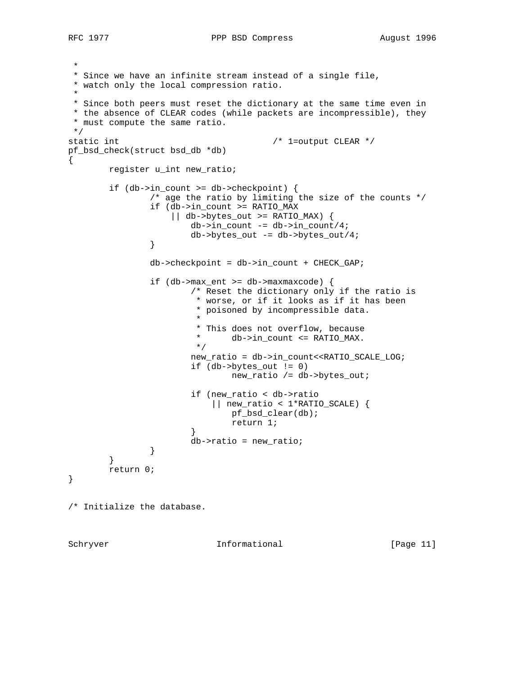```
 *
 * Since we have an infinite stream instead of a single file,
 * watch only the local compression ratio.
 *
 * Since both peers must reset the dictionary at the same time even in
  * the absence of CLEAR codes (while packets are incompressible), they
 * must compute the same ratio.
 */
static int \frac{1}{x} 1=output CLEAR */
pf_bsd_check(struct bsd_db *db)
{
        register u_int new_ratio;
        if (db->in_count >= db->checkpoint) {
                /* age the ratio by limiting the size of the counts */
                if (db->in_count >= RATIO_MAX
                   || db->bytes_out >= RATIO_MAX) {
                      db->in_count -= db->in_count/4; db->bytes_out -= db->bytes_out/4;
 }
                db->checkpoint = db->in_count + CHECK_GAP;
                if (db->max_ent >= db->maxmaxcode) {
                       /* Reset the dictionary only if the ratio is
                        * worse, or if it looks as if it has been
                        * poisoned by incompressible data.
\star * This does not overflow, because
                       * db->in_count <= RATIO_MAX. */
\star/ new_ratio = db->in_count<<RATIO_SCALE_LOG;
                       if (db->bytes_out != 0)
                               new_ratio /= db->bytes_out;
                       if (new_ratio < db->ratio
                           || new_ratio < 1*RATIO_SCALE) {
                               pf_bsd_clear(db);
                               return 1;
 }
                       db->ratio = new_ratio;
 }
        }
        return 0;
}
/* Initialize the database.
```
Schryver 10 Informational [Page 11]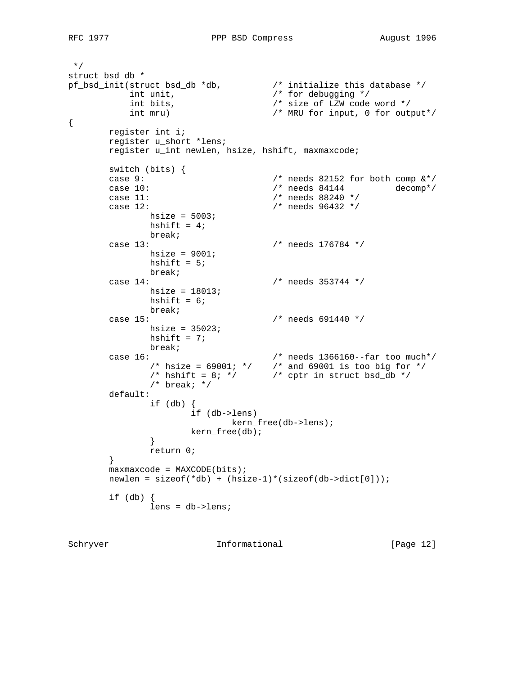```
 */
struct bsd_db *
pf_bsd_init(struct bsd_db *db, /* initialize this database */
int unit, \frac{1}{2} /* for debugging */
 int bits, /* size of LZW code word */
 int mru) /* MRU for input, 0 for output*/
{
      register int i;
       register u_short *lens;
       register u_int newlen, hsize, hshift, maxmaxcode;
       switch (bits) {
      case 9: \frac{1}{3} /* needs 82152 for both comp \frac{k*}{3} case 10: \frac{k*}{3} case 10:
      case 10: \frac{1}{2} /* needs 84144 decomp*/<br>
case 11: \frac{1}{2} /* needs 88240 */
                                 /* needs 88240 */ case 12: /* needs 96432 */
            hsize = 5003;
            hshift = 4;
             break;
       case 13: /* needs 176784 */
              hsize = 9001;
            hshift = 5;
             break;
       case 14: /* needs 353744 */
              hsize = 18013;
             hshift = 6;
             break;
       case 15: /* needs 691440 */
             hsize = 35023;
             hshift = 7; break;
 case 16: /* needs 1366160--far too much*/
 /* hsize = 69001; */ /* and 69001 is too big for */
\frac{1}{2} /* hshift = 8; */ \frac{1}{2} /* cptr in struct bsd_db */
              /* break; */
       default:
              if (db) {
                     if (db->lens)
                      kern_free(db->lens);
                   kern free(db);
 }
              return 0;
        }
      maxmaxcode = MAXCODE(bits);newlen = sizeof(*db) + (hsize-1)*(sizeof(db->dict[0]));
       if (db) {
             lens = db->lens;
```
Schryver 10 Informational [Page 12]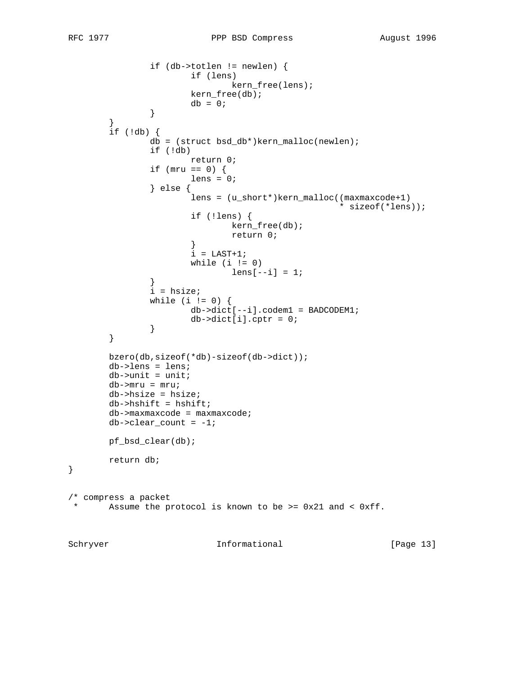```
 if (db->totlen != newlen) {
                         if (lens)
                                 kern_free(lens);
                         kern_free(db);
                \begin{aligned} \text{db} = 0 \, \text{;} \end{aligned} }
         }
         if (!db) {
                 db = (struct bsd_db*)kern_malloc(newlen);
                 if (!db)
                         return 0;
                if (mru == 0) {
                        lens = 0; } else {
                         lens = (u_short*)kern_malloc((maxmaxcode+1)
                                                       * sizeof(*lens));
                         if (!lens) {
                                 kern_free(db);
                                 return 0;
 }
                        i = LAST+1;
                        while (i != 0)lens[--i] = 1; }
                 i = hsize;
                while (i != 0) {
                        db->dict[--i].codem1 = BADCODEM1;
                db \rightarrow dict[i].cptr = 0; }
 }
         }
         bzero(db,sizeof(*db)-sizeof(db->dict));
         db->lens = lens;
        db->unit = unit;
         db->mru = mru;
         db->hsize = hsize;
         db->hshift = hshift;
         db->maxmaxcode = maxmaxcode;
        db->clear_count = -1; pf_bsd_clear(db);
         return db;
/* compress a packet<br>* Assume the p
   Assume the protocol is known to be >= 0x21 and < 0xff.
```
}

Schryver 10 Informational [Page 13]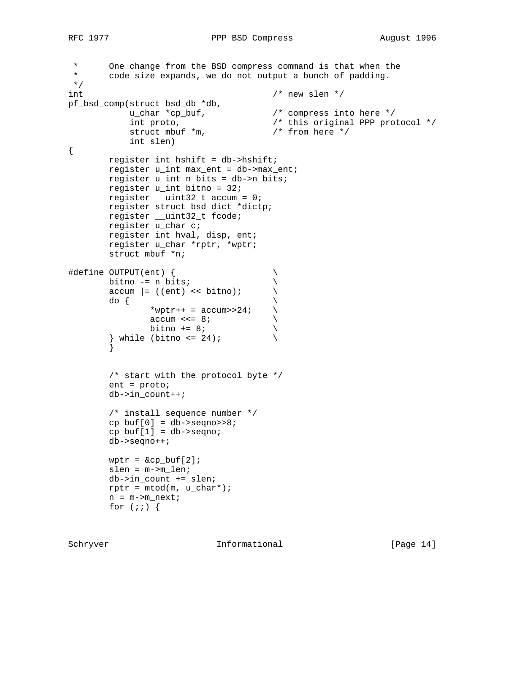```
* One change from the BSD compress command is that when the<br>* code size expands we do not output a bunch of padding
        code size expands, we do not output a bunch of padding.
 */
int \frac{1}{x} /* new slen */
pf_bsd_comp(struct bsd_db *db,
 u_char *cp_buf, /* compress into here */
 int proto, /* this original PPP protocol */
struct mbuf *m, /* from here */ int slen)
{
         register int hshift = db->hshift;
         register u_int max_ent = db->max_ent;
         register u_int n_bits = db->n_bits;
         register u_int bitno = 32;
        register __uint32_t accum = 0;
         register struct bsd_dict *dictp;
         register __uint32_t fcode;
         register u_char c;
         register int hval, disp, ent;
         register u_char *rptr, *wptr;
         struct mbuf *n;
#define OUTPUT(ent) { \
        bitno -= n_bits;<br>
accum |= ((ent) << bitno);<br>
do {<br>
*wptr++ = accum>>24;<br>
accum <<= 8;
        \text{accum }|= ((ent) << bitno);
do { \qquad \qquad \backslash*wptr++ = \text{accuracy}>24;\begin{array}{ccc}\n\text{accum} <<= & 8; \\
\text{bin} &+ = & 8; \\
\end{array}bitno += 8;} while (bitno \leq 24);
         }
         /* start with the protocol byte */
         ent = proto;
         db->in_count++;
         /* install sequence number */
        cp\_buf[0] = db->seqno>>8;cp\_buf[1] = db->seqno; db->seqno++;
        wptr = \&cp\_buf[2]; slen = m->m_len;
         db->in_count += slen;
        rptr = mtod(m, u_{char}*);n = m - > m next;
        for (i; j) {
```
Schryver 10 Informational [Page 14]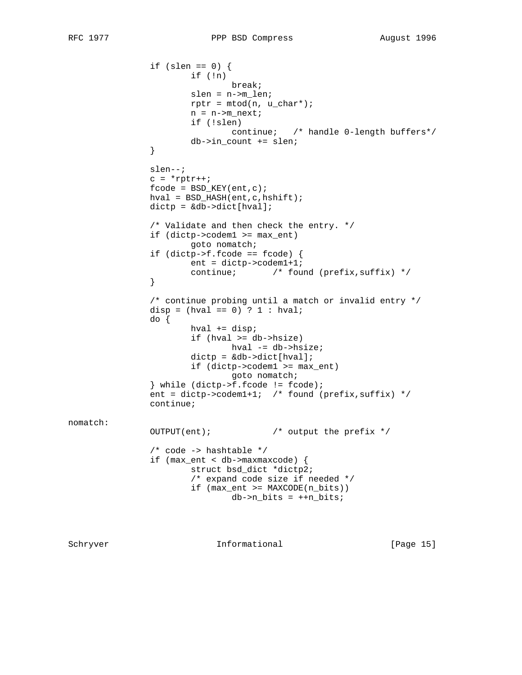```
if (slen == 0) {
                         if (!n)
                                 break;
                         slen = n->m_len;
                        rptr = mtod(n, u_{char}*);n = n->m_next;
                         if (!slen)
                                 continue; /* handle 0-length buffers*/
                db->in\_count += slen; }
                 slen--;
                c = *rptr++;fcode = BSD_KEY(ent,c); hval = BSD_HASH(ent,c,hshift);
                 dictp = &db->dict[hval];
                 /* Validate and then check the entry. */
                 if (dictp->codem1 >= max_ent)
                         goto nomatch;
                 if (dictp->f.fcode == fcode) {
                        ent = dictp->codem1+1;
                continue; \begin{array}{ccc} & /* & \text{found} & (prefix, suffix) * / \\ & & \end{array} }
                 /* continue probing until a match or invalid entry */
                disp = (hval == 0) ? 1 : hval;
                 do {
                         hval += disp;
                         if (hval >= db->hsize)
                                hval -= db->hsize;
                        dictp = \&db->dict[hval]; if (dictp->codem1 >= max_ent)
                                 goto nomatch;
                 } while (dictp->f.fcode != fcode);
                ent = dictp - 2codem1+1; /* found (prefix, suffix) */
                 continue;
nomatch:
                 OUTPUT(ent); /* output the prefix */
                 /* code -> hashtable */
                 if (max_ent < db->maxmaxcode) {
                         struct bsd_dict *dictp2;
                         /* expand code size if needed */
                         if (max_ent >= MAXCODE(n_bits))
                                db->n_bits = ++n_bits;
```
Schryver 10 Informational [Page 15]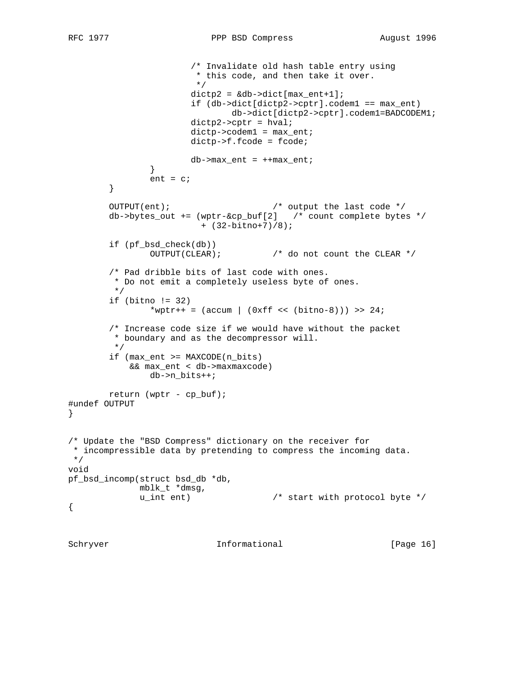}

\*/

{

```
 /* Invalidate old hash table entry using
                        * this code, and then take it over.<br>*/
* /
                       dictp2 = \&db->dict[max_entt+1]; if (db->dict[dictp2->cptr].codem1 == max_ent)
                                db->dict[dictp2->cptr].codem1=BADCODEM1;
                        dictp2->cptr = hval;
                        dictp->codem1 = max_ent;
                        dictp->f.fcode = fcode;
               db->max\_ent = ++max\_ent; }
               ent = ci }
        OUTPUT(ent); /* output the last code */
       db \rightarrow bytes\_out += (wptr-&cp\_buf[2] /* count complete bytes */
                         + (32-bitno+7)/8);
         if (pf_bsd_check(db))
                OUTPUT(CLEAR); /* do not count the CLEAR */
         /* Pad dribble bits of last code with ones.
         * Do not emit a completely useless byte of ones.
         */
         if (bitno != 32)
               *wptr++ = (\text{accum } | (\text{0} xff \leq (\text{bitno-8}))) >> 24; /* Increase code size if we would have without the packet
         * boundary and as the decompressor will.
         */
         if (max_ent >= MAXCODE(n_bits)
            && max_ent < db->maxmaxcode)
                db->n_bits++;
        return (wptr - cp_buf);
#undef OUTPUT
/* Update the "BSD Compress" dictionary on the receiver for
 * incompressible data by pretending to compress the incoming data.
void
pf_bsd_incomp(struct bsd_db *db,
              mblk_t *dmsg,
              u_int ent) /* start with protocol byte */
```
Schryver 10 Informational [Page 16]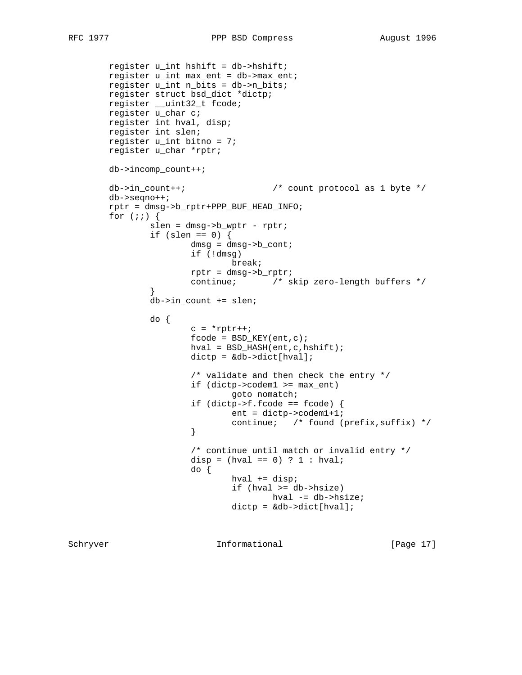```
 register u_int hshift = db->hshift;
        register u_int max_ent = db->max_ent;
        register u_int n_bits = db->n_bits;
        register struct bsd_dict *dictp;
 register __uint32_t fcode;
 register u_char c;
        register int hval, disp;
        register int slen;
        register u_int bitno = 7;
        register u_char *rptr;
        db->incomp_count++;
       db->in_count++; \qquad \qquad /* count protocol as 1 byte */
        db->seqno++;
        rptr = dmsg->b_rptr+PPP_BUF_HEAD_INFO;
       for (i; j) {
                slen = dmsg->b_wptr - rptr;
               if (slen == 0) {
                      dmsg = dmsg->b_cont;
                        if (!dmsg)
                               break;
                        rptr = dmsg->b_rptr;
                        continue; /* skip zero-length buffers */
 }
                db->in_count += slen;
                do {
                       c = *rptr++;fcode = BSD_KEY(ent,c); hval = BSD_HASH(ent,c,hshift);
                        dictp = &db->dict[hval];
                        /* validate and then check the entry */
                        if (dictp->codem1 >= max_ent)
                               goto nomatch;
                        if (dictp->f.fcode == fcode) {
                               ent = dictp->codem1+1;
                       continue; /* found (prefix, suffix) */
 }
                        /* continue until match or invalid entry */
                       disp = (hval == 0) ? 1 : hval;
                        do {
                               hval += disp;
                                if (hval >= db->hsize)
                                       hval -= db->hsize;
                               dictp = \&db->dict[hval];
```
Schryver 10 Informational [Page 17]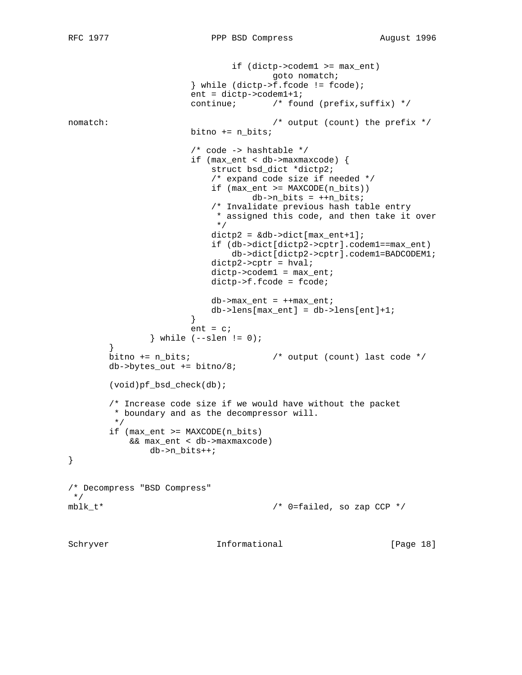```
 if (dictp->codem1 >= max_ent)
                                       goto nomatch;
                        } while (dictp->f.fcode != fcode);
                        ent = dictp->codem1+1;
                       continue; \frac{1}{2} /* found (prefix, suffix) */
nomatch: \frac{1}{2} /* output (count) the prefix */
                       bitno += n_bits;
                        /* code -> hashtable */
                        if (max_ent < db->maxmaxcode) {
                           struct bsd_dict *dictp2;
                            /* expand code size if needed */
                           if (max_ent >= MAXCODE(n_bits))
                                  db->n_bits = ++n_bits;
                            /* Invalidate previous hash table entry
                           * assigned this code, and then take it over */\star/dictp2 = \&db->dict[max_entt+1]; if (db->dict[dictp2->cptr].codem1==max_ent)
                               db->dict[dictp2->cptr].codem1=BADCODEM1;
                          dictp2-<cptr = hval; dictp->codem1 = max_ent;
                           dictp->f.fcode = fcode;
                          db->max_ent = +max_ent;
                          db->lens[max\_ent] = db->lens[ent]+1; }
                      ent = ci} while (-slen != 0); }
        bitno += n_bits; /* output (count) last code */
       db \rightarrow bytes\_\text{out} += bitno/8; (void)pf_bsd_check(db);
        /* Increase code size if we would have without the packet
         * boundary and as the decompressor will.
         */
        if (max_ent >= MAXCODE(n_bits)
           && max_ent < db->maxmaxcode)
                db->n_bits++;
}
/* Decompress "BSD Compress"
 */
mblk_t* \gamma /* 0=failed, so zap CCP */
```
Schryver 10 Informational [Page 18]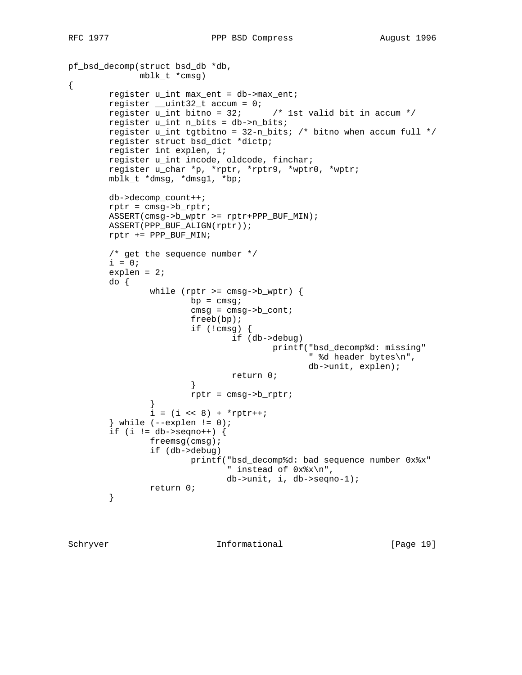```
pf_bsd_decomp(struct bsd_db *db,
              mblk_t *cmsg)
{
        register u_int max_ent = db->max_ent;
 register __uint32_t accum = 0;
 register u_int bitno = 32; /* 1st valid bit in accum */
        register u_int n_bits = db->n_bits;
       register u_int tgtbitno = 32-n_bbits; /* bitno when accum full */
        register struct bsd_dict *dictp;
        register int explen, i;
        register u_int incode, oldcode, finchar;
        register u_char *p, *rptr, *rptr9, *wptr0, *wptr;
        mblk_t *dmsg, *dmsg1, *bp;
        db->decomp_count++;
        rptr = cmsg->b_rptr;
        ASSERT(cmsg->b_wptr >= rptr+PPP_BUF_MIN);
        ASSERT(PPP_BUF_ALIGN(rptr));
        rptr += PPP_BUF_MIN;
         /* get the sequence number */
       i = 0; explen = 2;
        do {
               while (rptr >= cmsg->b_wptr) {
                       bp = cmsgicmsg = cmsg - b_cont; freeb(bp);
                        if (!cmsg) {
                                if (db->debug)
                                        printf("bsd_decomp%d: missing"
                                               " %d header bytes\n",
                                               db->unit, explen);
                       return 0;<br>}
 }
                rptr = cmsg->b_rptr;
 }
               i = (i \le 8) + *rptr++;} while (-\exp \t{1} != 0);
        if (i := db->seqno++) {
                freemsg(cmsg);
                if (db->debug)
                        printf("bsd_decomp%d: bad sequence number 0x%x"
                               " instead of 0x%x\n",
                               db->unit, i, db->seqno-1);
                return 0;
         }
```
Schryver 10 Informational [Page 19]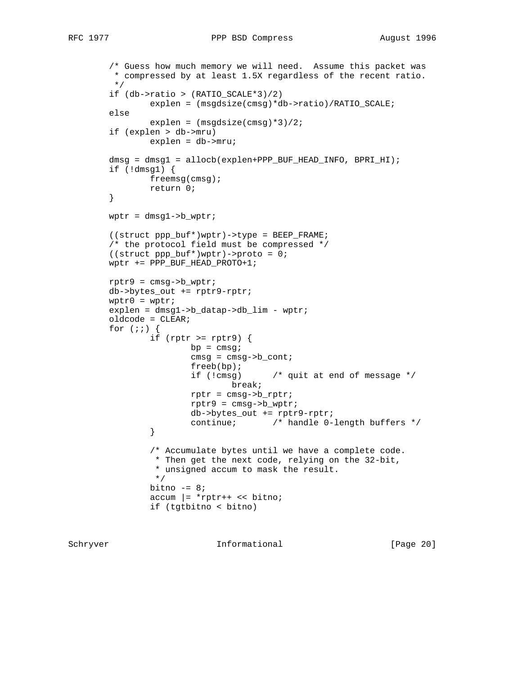```
 /* Guess how much memory we will need. Assume this packet was
         * compressed by at least 1.5X regardless of the recent ratio.
          */
         if (db->ratio > (RATIO_SCALE*3)/2)
                 explen = (msgdsize(cmsg)*db->ratio)/RATIO_SCALE;
         else
                 explen = (msgdsize(cmsg)*3)/2;
         if (explen > db->mru)
                 explen = db->mru;
         dmsg = dmsg1 = allocb(explen+PPP_BUF_HEAD_INFO, BPRI_HI);
         if (!dmsg1) {
                 freemsg(cmsg);
                 return 0;
         }
         wptr = dmsg1->b_wptr;
         ((struct ppp_buf*)wptr)->type = BEEP_FRAME;
         /* the protocol field must be compressed */
        ((struct <math>pp\_buf^*)wptr)</math> -<math>pproto = 0;</math> wptr += PPP_BUF_HEAD_PROTO+1;
         rptr9 = cmsg->b_wptr;
         db->bytes_out += rptr9-rptr;
        wptr0 = wptr; explen = dmsg1->b_datap->db_lim - wptr;
         oldcode = CLEAR;
        for (i; j) {
                if (rptr >= rptr9) {
                        bp = cmsg:cmsg = cmsg - b_cont; freeb(bp);
                          if (!cmsg) /* quit at end of message */
                                 break;
                          rptr = cmsg->b_rptr;
                          rptr9 = cmsg->b_wptr;
                          db->bytes_out += rptr9-rptr;
                continue; \qquad /* handle 0-length buffers */
 }
                 /* Accumulate bytes until we have a complete code.
                  * Then get the next code, relying on the 32-bit,
                 * unsigned accum to mask the result.<br>*/
\star/bitno -= 8;
                \text{accum }|= \text{*} \text{rptr++} \ll \text{bitno}; if (tgtbitno < bitno)
```
Schryver 10 Informational [Page 20]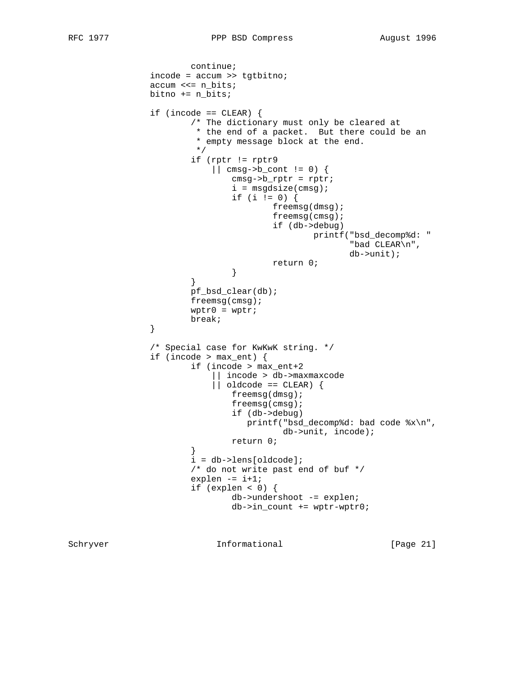```
 continue;
                  incode = accum >> tgtbitno;
                  accum <<= n_bits;
                  bitno += n_bits;
                 if (incode == CLEAR) {
                           /* The dictionary must only be cleared at
                            * the end of a packet. But there could be an
                           * empty message block at the end.<br>*/
\star/ if (rptr != rptr9
                                || cmsg->b_cont != 0) {
                                    cmsg->b_rptr = rptr;
                                   i = mgdsize(cmsg);if (i != 0) {
                                             freemsg(dmsg);
                                             freemsg(cmsg);
                                             if (db->debug)
                                                      printf("bsd_decomp%d: "
                                                              "bad CLEAR\n",
                                                              db->unit);
                                   return 0;<br>}
 }
 }
                           pf_bsd_clear(db);
                           freemsg(cmsg);
                          wptr0 = wptr; break;
 }
                  /* Special case for KwKwK string. */
                  if (incode > max_ent) {
                           if (incode > max_ent+2
                                || incode > db->maxmaxcode
                               \begin{bmatrix} \cdot & \cdot & \cdot \\ \cdot & \cdot & \cdot \\ \cdot & \cdot & \cdot \end{bmatrix} == CLEAR) \begin{bmatrix} \cdot & \cdot & \cdot \\ \cdot & \cdot & \cdot \\ \cdot & \cdot & \cdot \end{bmatrix} freemsg(dmsg);
                                    freemsg(cmsg);
                                    if (db->debug)
                                        printf("bsd_decomp%d: bad code %x\n",
                                               db->unit, incode);
                                    return 0;
 }
                           i = db->lens[oldcode];
                           /* do not write past end of buf */
                          explen - i+1;
                           if (explen < 0) {
                                    db->undershoot -= explen;
                                   db->in_count += wptr-wptr0;
```
Schryver 10 Informational [Page 21]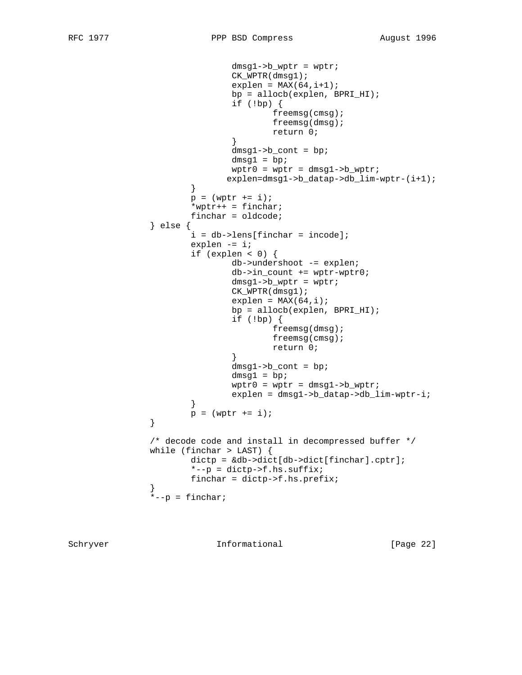```
dmsg1->b_ wptr = wptr;
                             CK_WPTR(dmsg1);
                            explen = MAX(64, i+1); bp = allocb(explen, BPRI_HI);
                             if (!bp) {
                                    freemsg(cmsg);
                                    freemsg(dmsg);
                                    return 0;
 }
                             dmsg1->b_cont = bp;
                            dmsg1 = bp;wptr0 = wptr = dmsgl -> b_wptr;\verb|explen=dmsg1->b_datap->db_1im-wptr-(i+1);|} }
                     p = (wptr += i); *wptr++ = finchar;
                      finchar = oldcode;
               } else {
                     i = db->lens[finchar = incode];explen - = i;
                     if (explen < 0) {
                             db->undershoot -= explen;
                             db->in_count += wptr-wptr0;
                            dmsg1->b_wptr = wptr;
                             CK_WPTR(dmsg1);
                            explen = MAX(64, i); bp = allocb(explen, BPRI_HI);
                             if (!bp) {
                                    freemsg(dmsg);
                                    freemsg(cmsg);
                                    return 0;
 }
                            dmsg1->b\_cont = bp;dmsg1 = bp;
                            wptr0 = wptr = dmsgl -> b_wptr;explen = dmsg1->b_datap->db_lim-wptr-i;<br>}
 }
              p = (wptr += i); }
               /* decode code and install in decompressed buffer */
               while (finchar > LAST) {
                      dictp = &db->dict[db->dict[finchar].cptr];
                     *--p = dictp->f.hs.suffix;
                      finchar = dictp->f.hs.prefix;
 }
              *--p = finchar;
```
Schryver 10 Informational [Page 22]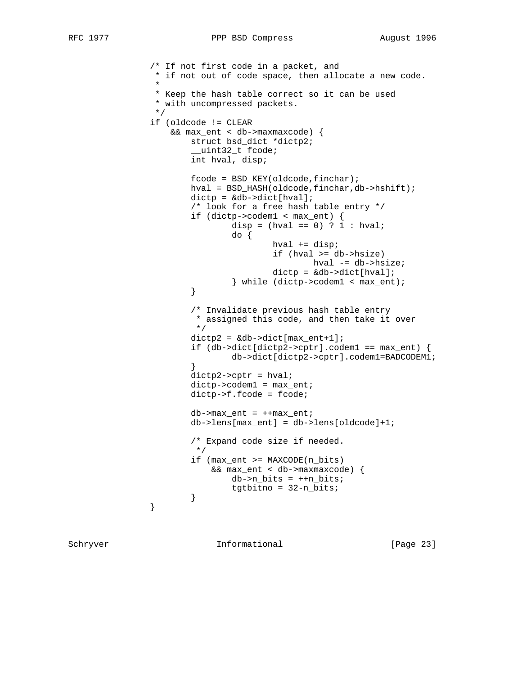```
 /* If not first code in a packet, and
                * if not out of code space, then allocate a new code.
\star * Keep the hash table correct so it can be used
                * with uncompressed packets.
\star/ if (oldcode != CLEAR
                  && max_ent < db->maxmaxcode) {
                      struct bsd_dict *dictp2;
                      uint32 t fcode;
                      int hval, disp;
                     fcode = BSD_KEY(oldcode, finchar); hval = BSD_HASH(oldcode,finchar,db->hshift);
                     dictp = \&db->dict[hval]; /* look for a free hash table entry */
                      if (dictp->codem1 < max_ent) {
                            disp = (hval == 0) ? 1 : hval;
                             do {
                                    hval += disp;
                                     if (hval >= db->hsize)
                                           hval -= db->hsize;
                                     dictp = &db->dict[hval];
                      } while (dictp->codem1 < max_ent);
 }
                      /* Invalidate previous hash table entry
                      * assigned this code, and then take it over */\star/dictp2 = \&db->dict[max_entt+1];if (db-\text{dict}[dictp2-\text{septr}].codem1 == max_ent) {
                      db->dict[dictp2->cptr].codem1=BADCODEM1;
 }
                     dictp2-<cptr = hval; dictp->codem1 = max_ent;
                      dictp->f.fcode = fcode;
                     db->max_ent = +max_ent;
                      db->lens[max_ent] = db->lens[oldcode]+1;
                      /* Expand code size if needed.
* /
                      if (max_ent >= MAXCODE(n_bits)
                          && max_ent < db->maxmaxcode) {
                            db->n_bits = ++n_bits;
                     tgtbitno = 32-n_bits;<br>}
 }
 }
```
Schryver 10 Informational [Page 23]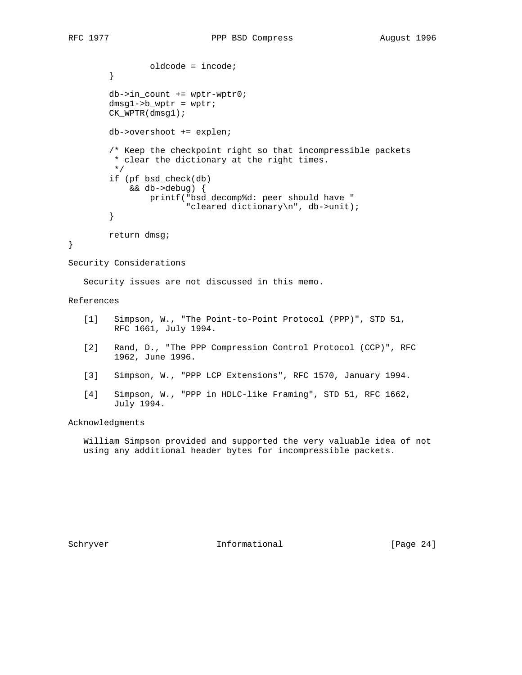oldcode = incode; } db->in\_count += wptr-wptr0;  $dmsgl - >b_wptr = wptr;$  CK\_WPTR(dmsg1); db->overshoot += explen; /\* Keep the checkpoint right so that incompressible packets \* clear the dictionary at the right times. \*/ if (pf\_bsd\_check(db) && db->debug) { printf("bsd\_decomp%d: peer should have " "cleared dictionary\n", db->unit); } return dmsg; Security Considerations

Security issues are not discussed in this memo.

# References

}

- [1] Simpson, W., "The Point-to-Point Protocol (PPP)", STD 51, RFC 1661, July 1994.
- [2] Rand, D., "The PPP Compression Control Protocol (CCP)", RFC 1962, June 1996.
- [3] Simpson, W., "PPP LCP Extensions", RFC 1570, January 1994.
- [4] Simpson, W., "PPP in HDLC-like Framing", STD 51, RFC 1662, July 1994.

# Acknowledgments

 William Simpson provided and supported the very valuable idea of not using any additional header bytes for incompressible packets.

Schryver 10 Informational [Page 24]